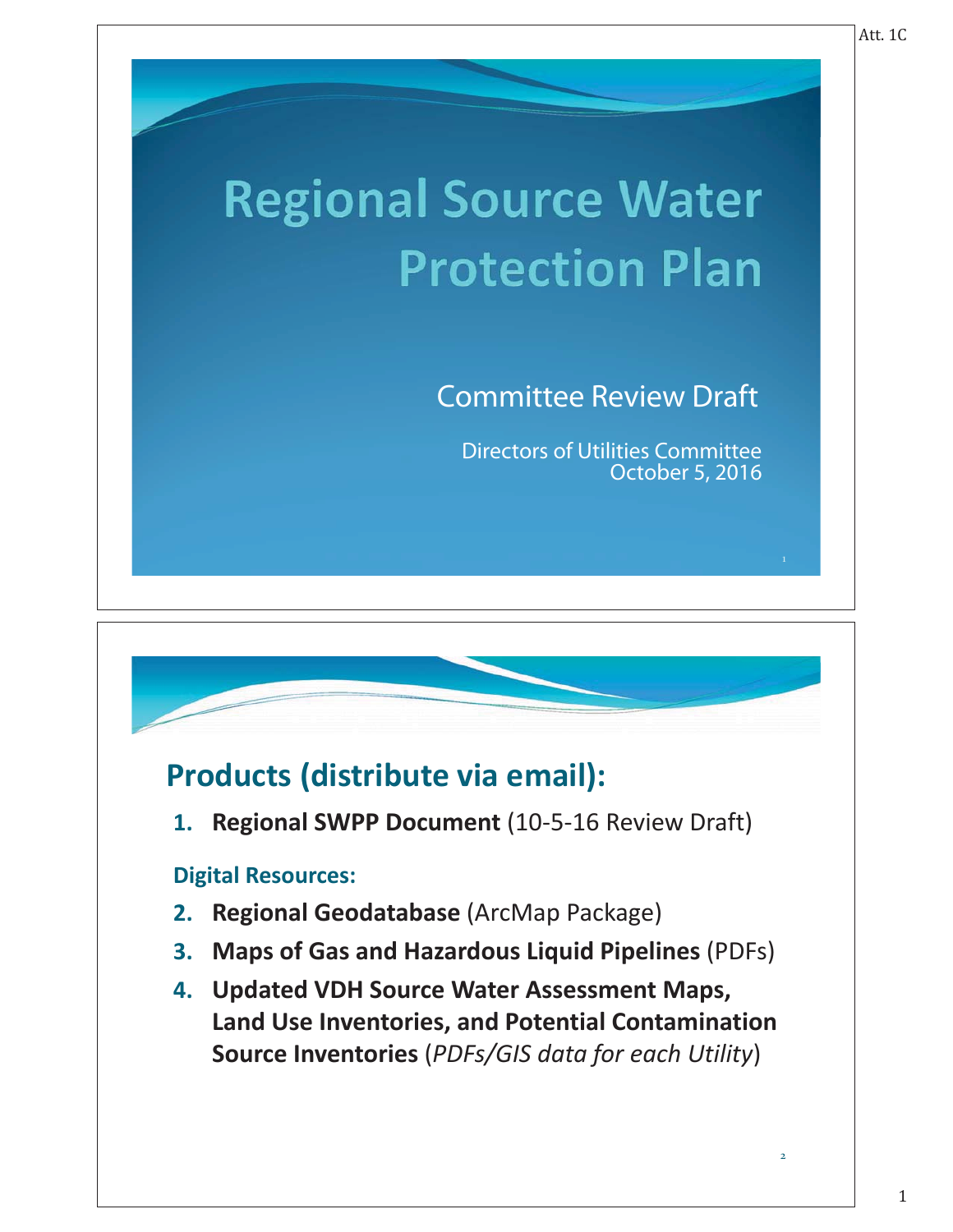# **Regional Source Water Protection Plan**

## **Committee Review Draft**

Directors of Utilities Committee

## **Products (distribute via email):**

**1. Regional SWPP Document** (10-5-16 Review Draft)

#### **Digital Resources:**

- **2. Regional Geodatabase** (ArcMap Package)
- **3. Maps of Gas and Hazardous Liquid Pipelines** (PDFs)
- **4. Updated VDH Source Water Assessment Maps, Land Use Inventories, and Potential Contamination Source Inventories** (*PDFs/GIS data for each Utility*)

2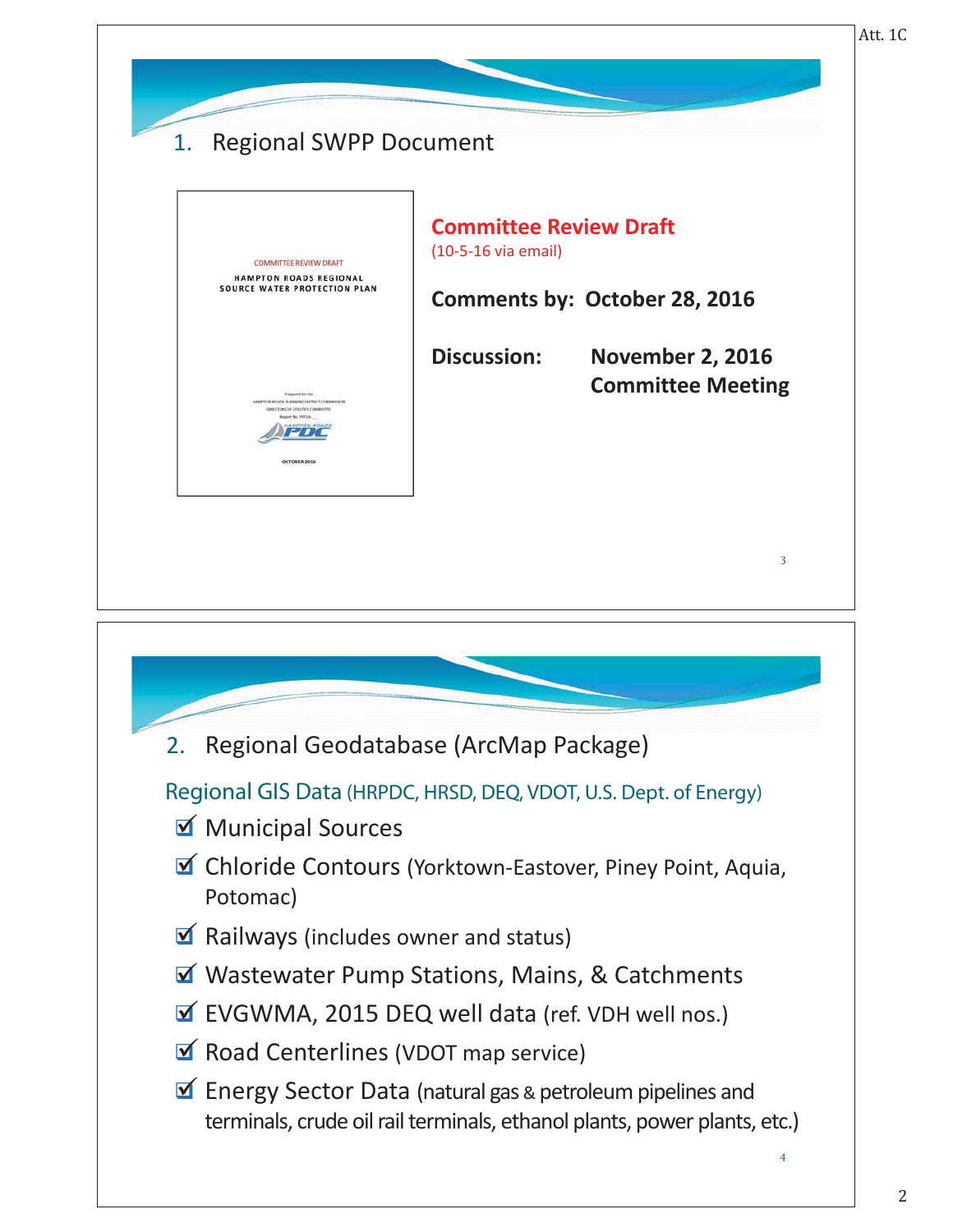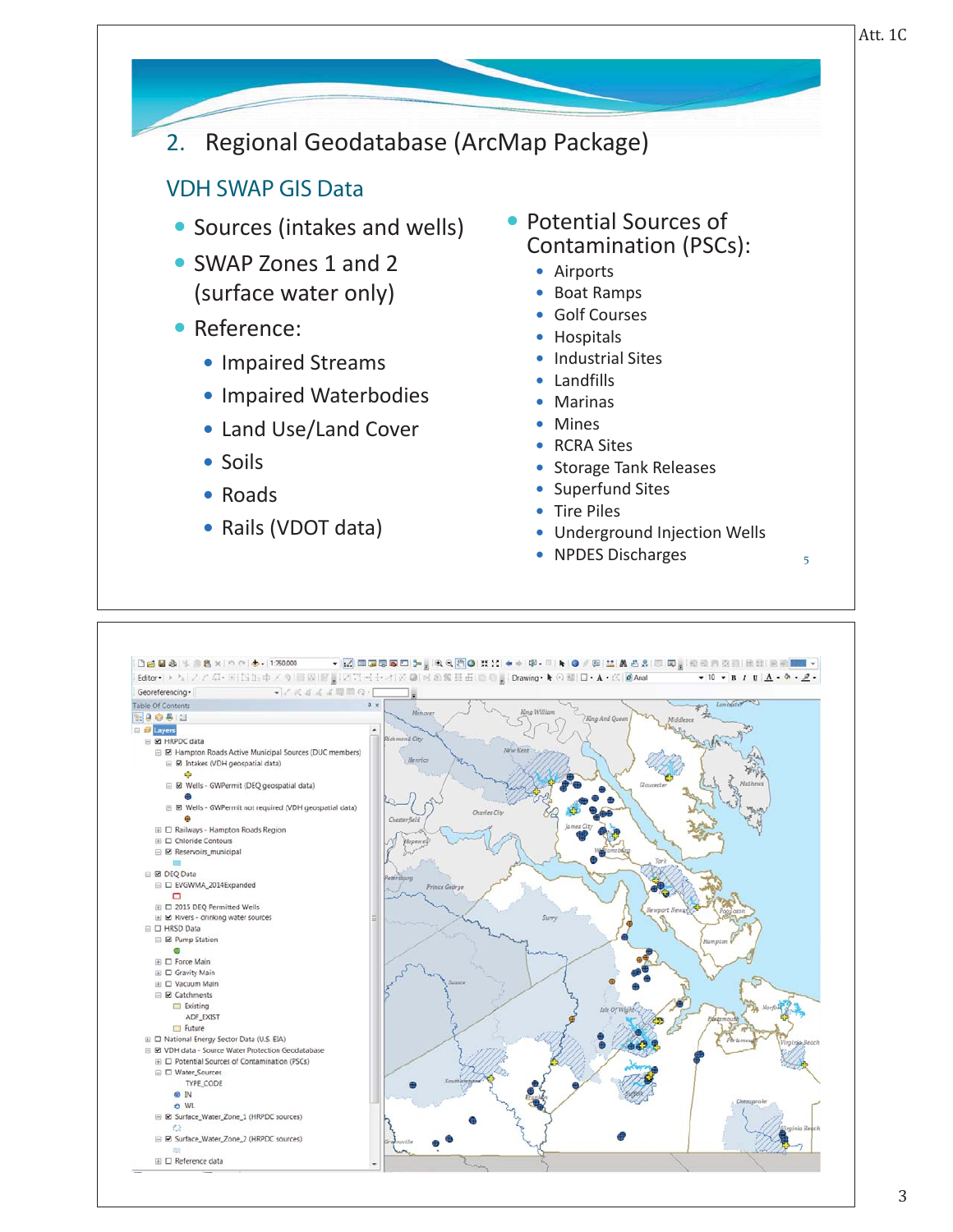# 2. Regional Geodatabase (ArcMap Package)

#### **VDH SWAP GIS Data**  $\mathcal{L}$

- Sources (intakes and wells)
- SWAP Zones 1 and 2 (surface water only)
- Reference:
	- Impaired Streams
	- Impaired Waterbodies
	- Land Use/Land Cover
	- Soils
	- $\bullet$  Roads
	- Rails (VDOT data)
- Potential Sources of Contamination (PSCs):
	- Airports
	- Boat Ramps
	- Golf Courses
	- Hospitals
	- Industrial Sites
	- $\bullet$  Landfills
	- Marinas
	- Mines
	- RCRA Sites
	- Storage Tank Releases
	- Superfund Sites
	- Tire Piles
	- Underground Injection Wells

5

• NPDES Discharges

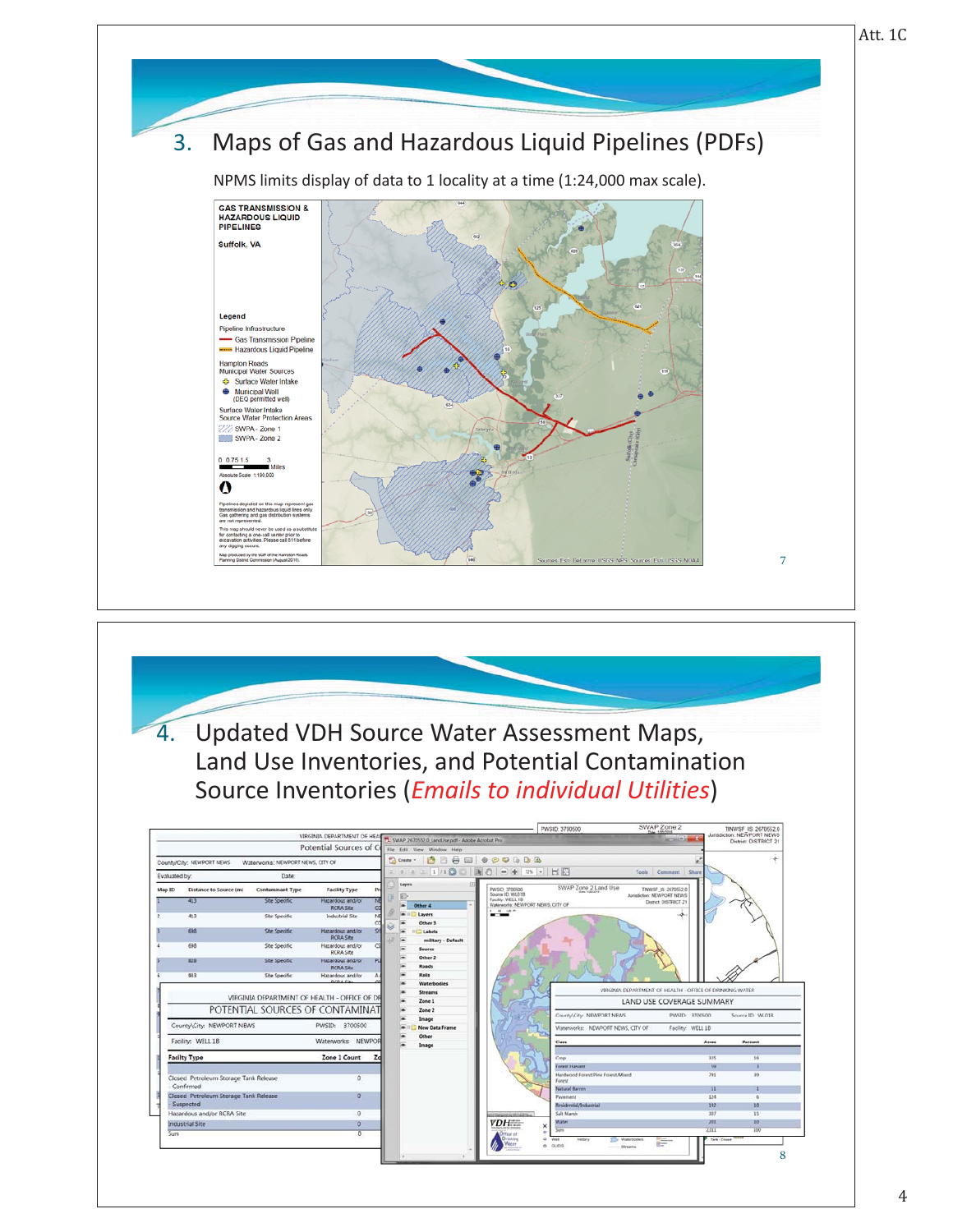